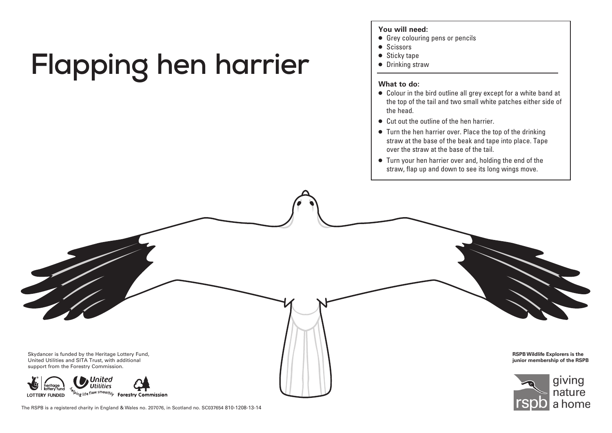## Flapping hen harrier  $\frac{1}{2}$  **Exitely tape**

## **You will need:**

- $\bullet$  Grey colouring pens or pencils
- $\bullet$  Scissors
- $\bullet$  Sticky tape
- $\bullet$  Drinking straw

- c Colour in the bird outline all grey except for a white band at the top of the tail and two small white patches either side of the head.
- c Cut out the outline of the hen harrier.
- $\bullet$  Turn the hen harrier over. Place the top of the drinking straw at the base of the beak and tape into place. Tape over the straw at the base of the tail.
- $\bullet$  Turn your hen harrier over and, holding the end of the straw, flap up and down to see its long wings move.



The RSPB is a registered charity in England & Wales no. 207076, in Scotland no. SC037654 810-1208-13-14